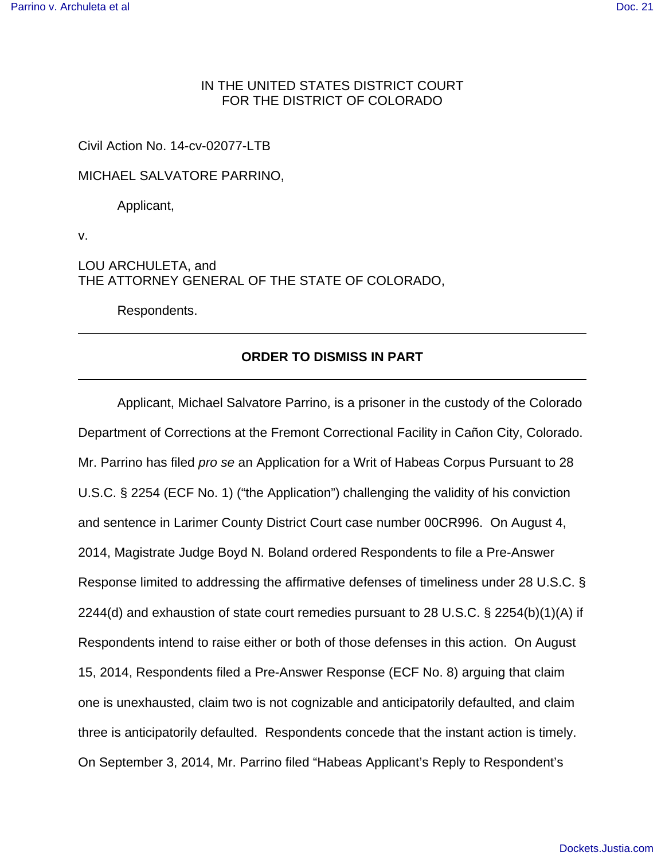# IN THE UNITED STATES DISTRICT COURT FOR THE DISTRICT OF COLORADO

## Civil Action No. 14-cv-02077-LTB

MICHAEL SALVATORE PARRINO,

Applicant,

v.

LOU ARCHULETA, and THE ATTORNEY GENERAL OF THE STATE OF COLORADO,

Respondents.

# **ORDER TO DISMISS IN PART**

Applicant, Michael Salvatore Parrino, is a prisoner in the custody of the Colorado Department of Corrections at the Fremont Correctional Facility in Cañon City, Colorado. Mr. Parrino has filed pro se an Application for a Writ of Habeas Corpus Pursuant to 28 U.S.C. § 2254 (ECF No. 1) ("the Application") challenging the validity of his conviction and sentence in Larimer County District Court case number 00CR996. On August 4, 2014, Magistrate Judge Boyd N. Boland ordered Respondents to file a Pre-Answer Response limited to addressing the affirmative defenses of timeliness under 28 U.S.C. § 2244(d) and exhaustion of state court remedies pursuant to 28 U.S.C. § 2254(b)(1)(A) if Respondents intend to raise either or both of those defenses in this action. On August 15, 2014, Respondents filed a Pre-Answer Response (ECF No. 8) arguing that claim one is unexhausted, claim two is not cognizable and anticipatorily defaulted, and claim three is anticipatorily defaulted. Respondents concede that the instant action is timely. On September 3, 2014, Mr. Parrino filed "Habeas Applicant's Reply to Respondent's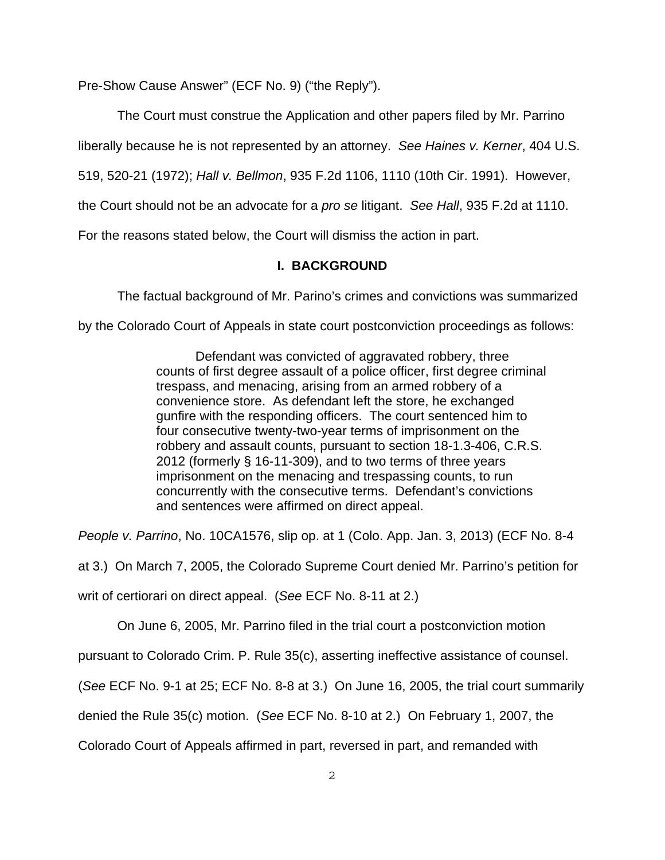Pre-Show Cause Answer" (ECF No. 9) ("the Reply").

The Court must construe the Application and other papers filed by Mr. Parrino

liberally because he is not represented by an attorney. See Haines v. Kerner, 404 U.S.

519, 520-21 (1972); Hall v. Bellmon, 935 F.2d 1106, 1110 (10th Cir. 1991). However,

the Court should not be an advocate for a *pro se* litigant. See Hall, 935 F.2d at 1110.

For the reasons stated below, the Court will dismiss the action in part.

## **I. BACKGROUND**

The factual background of Mr. Parino's crimes and convictions was summarized

by the Colorado Court of Appeals in state court postconviction proceedings as follows:

Defendant was convicted of aggravated robbery, three counts of first degree assault of a police officer, first degree criminal trespass, and menacing, arising from an armed robbery of a convenience store. As defendant left the store, he exchanged gunfire with the responding officers. The court sentenced him to four consecutive twenty-two-year terms of imprisonment on the robbery and assault counts, pursuant to section 18-1.3-406, C.R.S. 2012 (formerly § 16-11-309), and to two terms of three years imprisonment on the menacing and trespassing counts, to run concurrently with the consecutive terms. Defendant's convictions and sentences were affirmed on direct appeal.

People v. Parrino, No. 10CA1576, slip op. at 1 (Colo. App. Jan. 3, 2013) (ECF No. 8-4

at 3.) On March 7, 2005, the Colorado Supreme Court denied Mr. Parrino's petition for

writ of certiorari on direct appeal. (See ECF No. 8-11 at 2.)

On June 6, 2005, Mr. Parrino filed in the trial court a postconviction motion

pursuant to Colorado Crim. P. Rule 35(c), asserting ineffective assistance of counsel.

(See ECF No. 9-1 at 25; ECF No. 8-8 at 3.) On June 16, 2005, the trial court summarily

denied the Rule 35(c) motion. (See ECF No. 8-10 at 2.) On February 1, 2007, the

Colorado Court of Appeals affirmed in part, reversed in part, and remanded with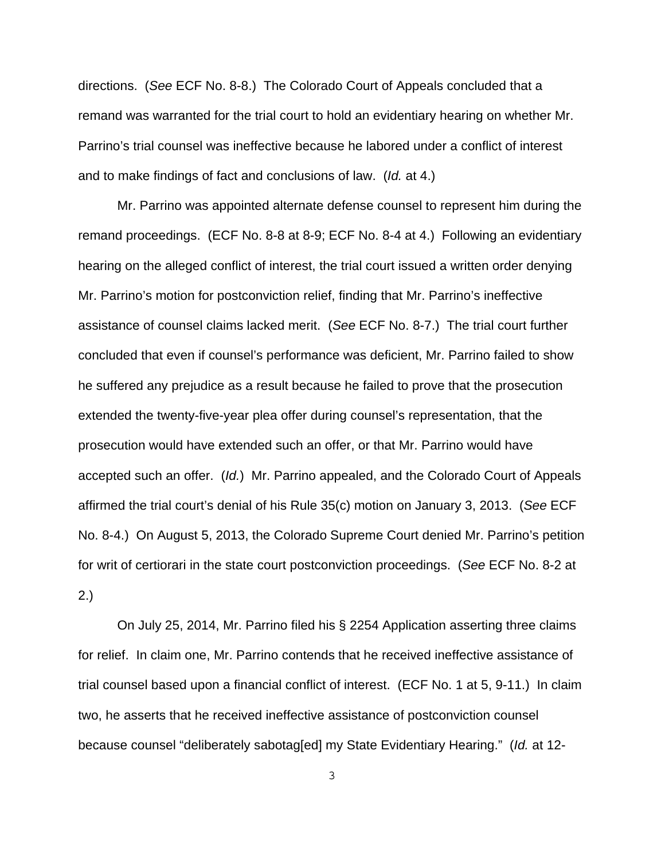directions. (See ECF No. 8-8.) The Colorado Court of Appeals concluded that a remand was warranted for the trial court to hold an evidentiary hearing on whether Mr. Parrino's trial counsel was ineffective because he labored under a conflict of interest and to make findings of fact and conclusions of law. (Id. at 4.)

Mr. Parrino was appointed alternate defense counsel to represent him during the remand proceedings. (ECF No. 8-8 at 8-9; ECF No. 8-4 at 4.) Following an evidentiary hearing on the alleged conflict of interest, the trial court issued a written order denying Mr. Parrino's motion for postconviction relief, finding that Mr. Parrino's ineffective assistance of counsel claims lacked merit. (See ECF No. 8-7.) The trial court further concluded that even if counsel's performance was deficient, Mr. Parrino failed to show he suffered any prejudice as a result because he failed to prove that the prosecution extended the twenty-five-year plea offer during counsel's representation, that the prosecution would have extended such an offer, or that Mr. Parrino would have accepted such an offer. (Id.) Mr. Parrino appealed, and the Colorado Court of Appeals affirmed the trial court's denial of his Rule 35(c) motion on January 3, 2013. (See ECF No. 8-4.) On August 5, 2013, the Colorado Supreme Court denied Mr. Parrino's petition for writ of certiorari in the state court postconviction proceedings. (See ECF No. 8-2 at 2.)

On July 25, 2014, Mr. Parrino filed his § 2254 Application asserting three claims for relief. In claim one, Mr. Parrino contends that he received ineffective assistance of trial counsel based upon a financial conflict of interest. (ECF No. 1 at 5, 9-11.) In claim two, he asserts that he received ineffective assistance of postconviction counsel because counsel "deliberately sabotag[ed] my State Evidentiary Hearing." (Id. at 12-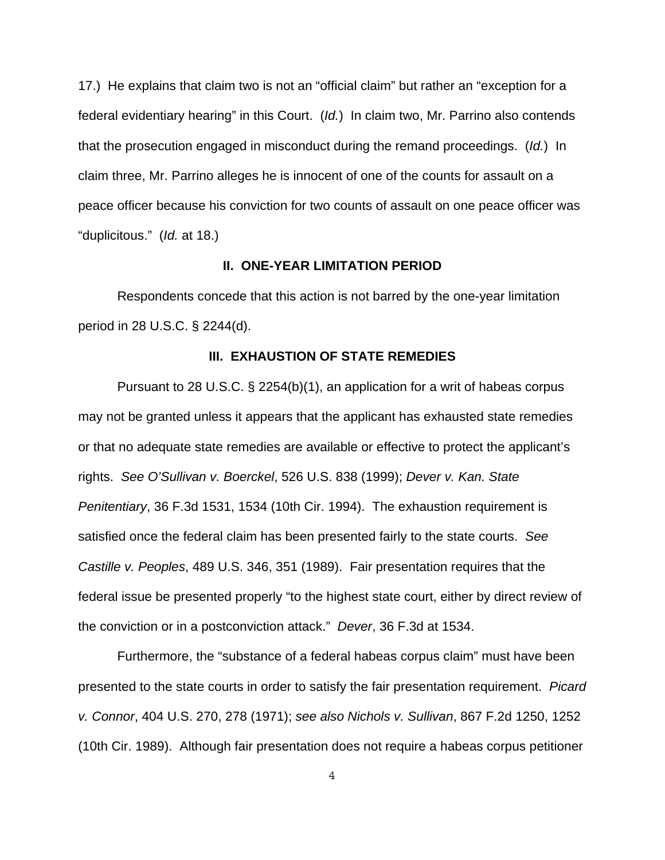17.) He explains that claim two is not an "official claim" but rather an "exception for a federal evidentiary hearing" in this Court. (Id.) In claim two, Mr. Parrino also contends that the prosecution engaged in misconduct during the remand proceedings. (Id.) In claim three, Mr. Parrino alleges he is innocent of one of the counts for assault on a peace officer because his conviction for two counts of assault on one peace officer was "duplicitous." (Id. at 18.)

### **II. ONE-YEAR LIMITATION PERIOD**

Respondents concede that this action is not barred by the one-year limitation period in 28 U.S.C. § 2244(d).

#### **III. EXHAUSTION OF STATE REMEDIES**

Pursuant to 28 U.S.C. § 2254(b)(1), an application for a writ of habeas corpus may not be granted unless it appears that the applicant has exhausted state remedies or that no adequate state remedies are available or effective to protect the applicant's rights. See O'Sullivan v. Boerckel, 526 U.S. 838 (1999); Dever v. Kan. State Penitentiary, 36 F.3d 1531, 1534 (10th Cir. 1994). The exhaustion requirement is satisfied once the federal claim has been presented fairly to the state courts. See Castille v. Peoples, 489 U.S. 346, 351 (1989). Fair presentation requires that the federal issue be presented properly "to the highest state court, either by direct review of the conviction or in a postconviction attack." Dever, 36 F.3d at 1534.

Furthermore, the "substance of a federal habeas corpus claim" must have been presented to the state courts in order to satisfy the fair presentation requirement. Picard v. Connor, 404 U.S. 270, 278 (1971); see also Nichols v. Sullivan, 867 F.2d 1250, 1252 (10th Cir. 1989). Although fair presentation does not require a habeas corpus petitioner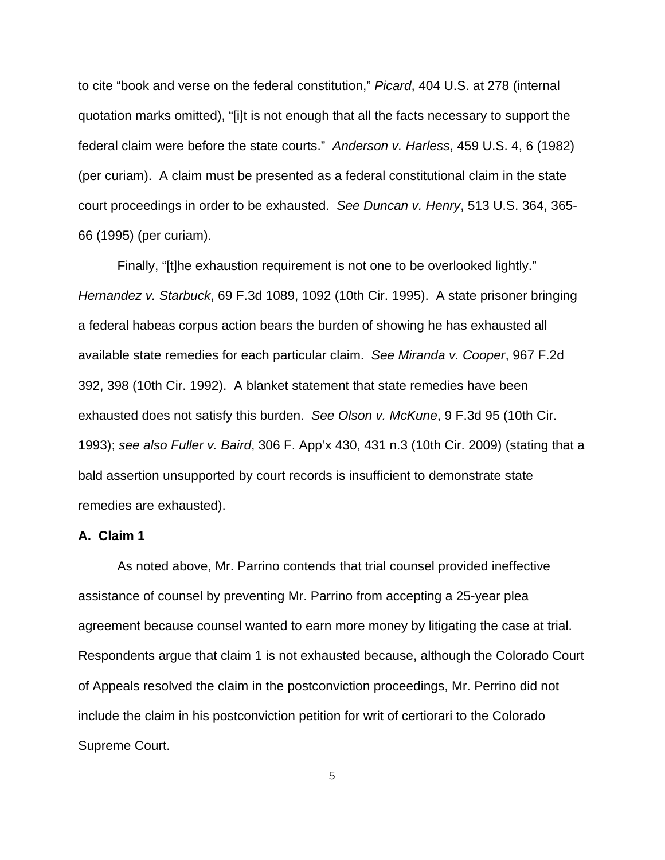to cite "book and verse on the federal constitution," Picard, 404 U.S. at 278 (internal quotation marks omitted), "[i]t is not enough that all the facts necessary to support the federal claim were before the state courts." Anderson v. Harless, 459 U.S. 4, 6 (1982) (per curiam). A claim must be presented as a federal constitutional claim in the state court proceedings in order to be exhausted. See Duncan v. Henry, 513 U.S. 364, 365- 66 (1995) (per curiam).

Finally, "[t]he exhaustion requirement is not one to be overlooked lightly." Hernandez v. Starbuck, 69 F.3d 1089, 1092 (10th Cir. 1995). A state prisoner bringing a federal habeas corpus action bears the burden of showing he has exhausted all available state remedies for each particular claim. See Miranda v. Cooper, 967 F.2d 392, 398 (10th Cir. 1992). A blanket statement that state remedies have been exhausted does not satisfy this burden. See Olson v. McKune, 9 F.3d 95 (10th Cir. 1993); see also Fuller v. Baird, 306 F. App'x 430, 431 n.3 (10th Cir. 2009) (stating that a bald assertion unsupported by court records is insufficient to demonstrate state remedies are exhausted).

### **A. Claim 1**

As noted above, Mr. Parrino contends that trial counsel provided ineffective assistance of counsel by preventing Mr. Parrino from accepting a 25-year plea agreement because counsel wanted to earn more money by litigating the case at trial. Respondents argue that claim 1 is not exhausted because, although the Colorado Court of Appeals resolved the claim in the postconviction proceedings, Mr. Perrino did not include the claim in his postconviction petition for writ of certiorari to the Colorado Supreme Court.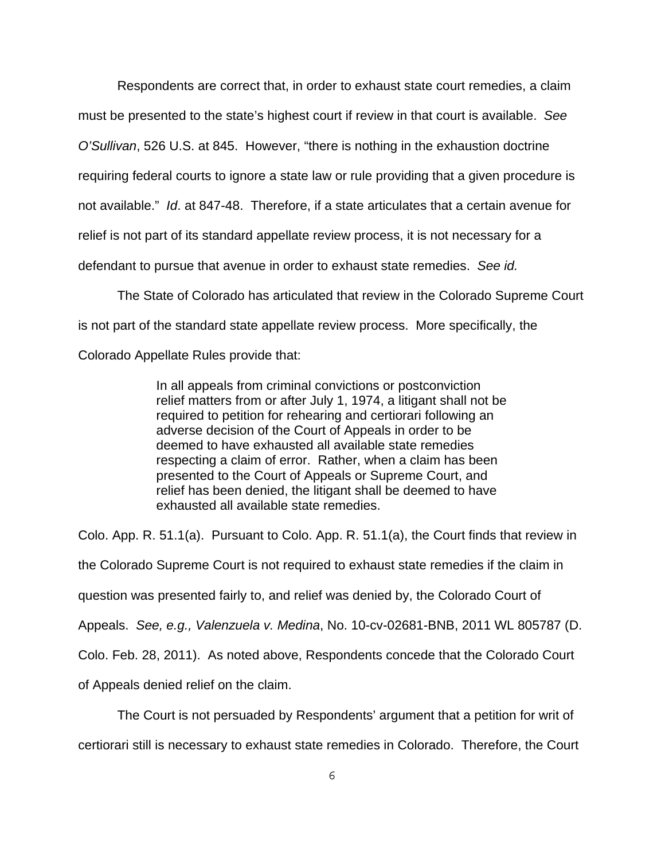Respondents are correct that, in order to exhaust state court remedies, a claim must be presented to the state's highest court if review in that court is available. See O'Sullivan, 526 U.S. at 845. However, "there is nothing in the exhaustion doctrine requiring federal courts to ignore a state law or rule providing that a given procedure is not available." Id. at 847-48. Therefore, if a state articulates that a certain avenue for relief is not part of its standard appellate review process, it is not necessary for a defendant to pursue that avenue in order to exhaust state remedies. See id.

The State of Colorado has articulated that review in the Colorado Supreme Court is not part of the standard state appellate review process. More specifically, the Colorado Appellate Rules provide that:

> In all appeals from criminal convictions or postconviction relief matters from or after July 1, 1974, a litigant shall not be required to petition for rehearing and certiorari following an adverse decision of the Court of Appeals in order to be deemed to have exhausted all available state remedies respecting a claim of error. Rather, when a claim has been presented to the Court of Appeals or Supreme Court, and relief has been denied, the litigant shall be deemed to have exhausted all available state remedies.

Colo. App. R. 51.1(a). Pursuant to Colo. App. R. 51.1(a), the Court finds that review in the Colorado Supreme Court is not required to exhaust state remedies if the claim in question was presented fairly to, and relief was denied by, the Colorado Court of Appeals. See, e.g., Valenzuela v. Medina, No. 10-cv-02681-BNB, 2011 WL 805787 (D. Colo. Feb. 28, 2011). As noted above, Respondents concede that the Colorado Court of Appeals denied relief on the claim.

The Court is not persuaded by Respondents' argument that a petition for writ of certiorari still is necessary to exhaust state remedies in Colorado. Therefore, the Court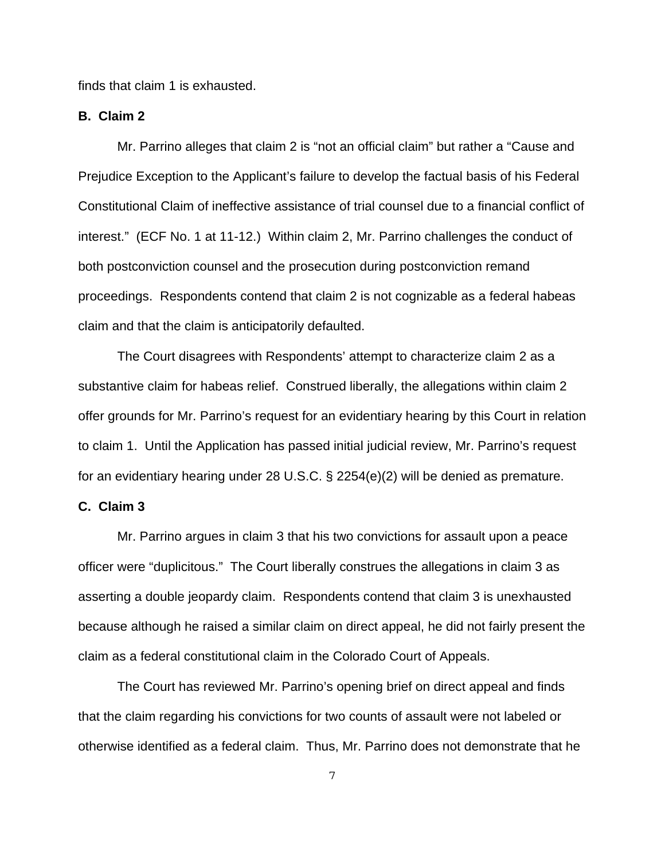finds that claim 1 is exhausted.

## **B. Claim 2**

Mr. Parrino alleges that claim 2 is "not an official claim" but rather a "Cause and Prejudice Exception to the Applicant's failure to develop the factual basis of his Federal Constitutional Claim of ineffective assistance of trial counsel due to a financial conflict of interest." (ECF No. 1 at 11-12.) Within claim 2, Mr. Parrino challenges the conduct of both postconviction counsel and the prosecution during postconviction remand proceedings. Respondents contend that claim 2 is not cognizable as a federal habeas claim and that the claim is anticipatorily defaulted.

The Court disagrees with Respondents' attempt to characterize claim 2 as a substantive claim for habeas relief. Construed liberally, the allegations within claim 2 offer grounds for Mr. Parrino's request for an evidentiary hearing by this Court in relation to claim 1. Until the Application has passed initial judicial review, Mr. Parrino's request for an evidentiary hearing under 28 U.S.C. § 2254(e)(2) will be denied as premature.

### **C. Claim 3**

Mr. Parrino argues in claim 3 that his two convictions for assault upon a peace officer were "duplicitous." The Court liberally construes the allegations in claim 3 as asserting a double jeopardy claim. Respondents contend that claim 3 is unexhausted because although he raised a similar claim on direct appeal, he did not fairly present the claim as a federal constitutional claim in the Colorado Court of Appeals.

The Court has reviewed Mr. Parrino's opening brief on direct appeal and finds that the claim regarding his convictions for two counts of assault were not labeled or otherwise identified as a federal claim. Thus, Mr. Parrino does not demonstrate that he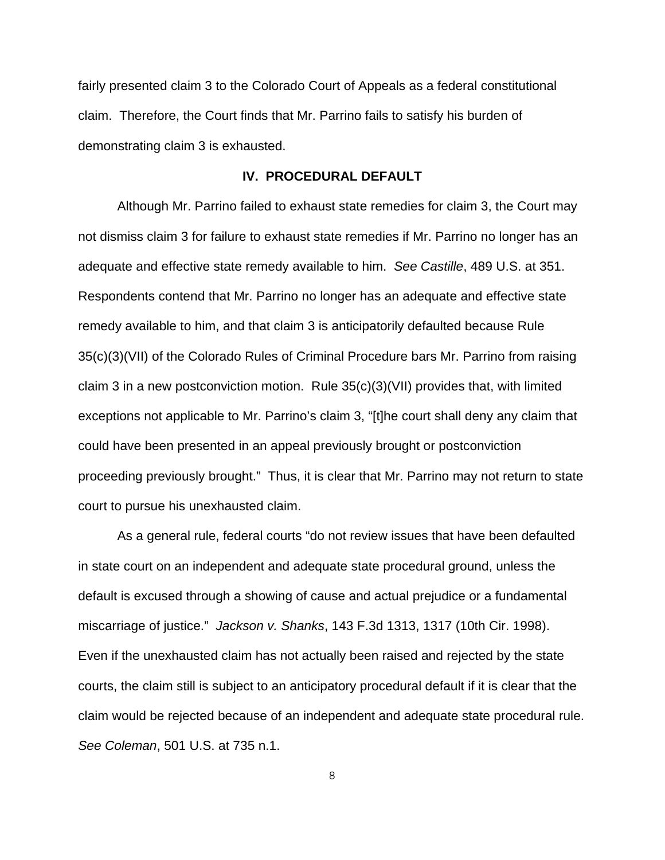fairly presented claim 3 to the Colorado Court of Appeals as a federal constitutional claim. Therefore, the Court finds that Mr. Parrino fails to satisfy his burden of demonstrating claim 3 is exhausted.

### **IV. PROCEDURAL DEFAULT**

Although Mr. Parrino failed to exhaust state remedies for claim 3, the Court may not dismiss claim 3 for failure to exhaust state remedies if Mr. Parrino no longer has an adequate and effective state remedy available to him. See Castille, 489 U.S. at 351. Respondents contend that Mr. Parrino no longer has an adequate and effective state remedy available to him, and that claim 3 is anticipatorily defaulted because Rule 35(c)(3)(VII) of the Colorado Rules of Criminal Procedure bars Mr. Parrino from raising claim 3 in a new postconviction motion. Rule 35(c)(3)(VII) provides that, with limited exceptions not applicable to Mr. Parrino's claim 3, "[t]he court shall deny any claim that could have been presented in an appeal previously brought or postconviction proceeding previously brought." Thus, it is clear that Mr. Parrino may not return to state court to pursue his unexhausted claim.

As a general rule, federal courts "do not review issues that have been defaulted in state court on an independent and adequate state procedural ground, unless the default is excused through a showing of cause and actual prejudice or a fundamental miscarriage of justice." Jackson v. Shanks, 143 F.3d 1313, 1317 (10th Cir. 1998). Even if the unexhausted claim has not actually been raised and rejected by the state courts, the claim still is subject to an anticipatory procedural default if it is clear that the claim would be rejected because of an independent and adequate state procedural rule. See Coleman, 501 U.S. at 735 n.1.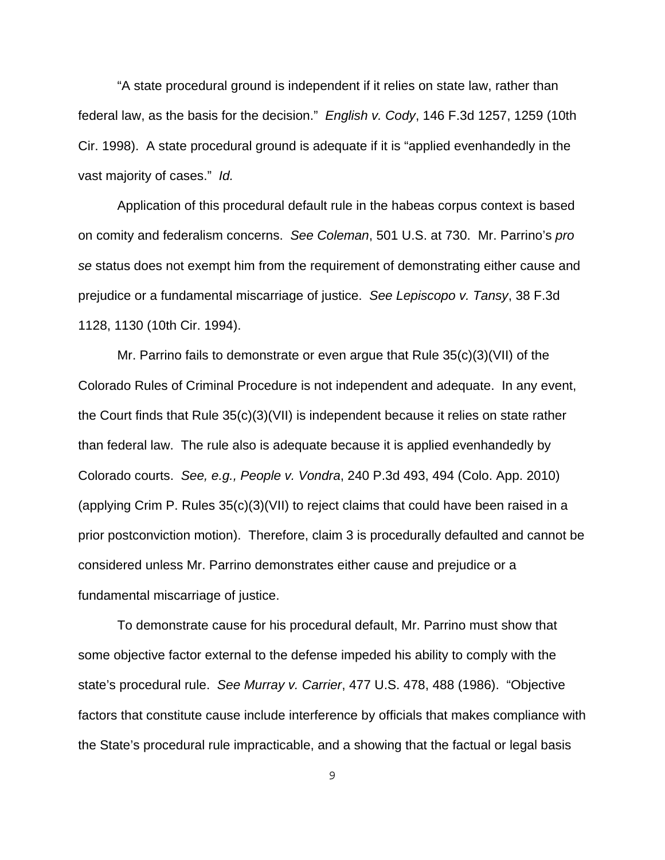"A state procedural ground is independent if it relies on state law, rather than federal law, as the basis for the decision." English v. Cody, 146 F.3d 1257, 1259 (10th Cir. 1998). A state procedural ground is adequate if it is "applied evenhandedly in the vast majority of cases." Id.

Application of this procedural default rule in the habeas corpus context is based on comity and federalism concerns. See Coleman, 501 U.S. at 730. Mr. Parrino's pro se status does not exempt him from the requirement of demonstrating either cause and prejudice or a fundamental miscarriage of justice. See Lepiscopo v. Tansy, 38 F.3d 1128, 1130 (10th Cir. 1994).

Mr. Parrino fails to demonstrate or even argue that Rule 35(c)(3)(VII) of the Colorado Rules of Criminal Procedure is not independent and adequate. In any event, the Court finds that Rule 35(c)(3)(VII) is independent because it relies on state rather than federal law. The rule also is adequate because it is applied evenhandedly by Colorado courts. See, e.g., People v. Vondra, 240 P.3d 493, 494 (Colo. App. 2010) (applying Crim P. Rules 35(c)(3)(VII) to reject claims that could have been raised in a prior postconviction motion). Therefore, claim 3 is procedurally defaulted and cannot be considered unless Mr. Parrino demonstrates either cause and prejudice or a fundamental miscarriage of justice.

To demonstrate cause for his procedural default, Mr. Parrino must show that some objective factor external to the defense impeded his ability to comply with the state's procedural rule. See Murray v. Carrier, 477 U.S. 478, 488 (1986). "Objective factors that constitute cause include interference by officials that makes compliance with the State's procedural rule impracticable, and a showing that the factual or legal basis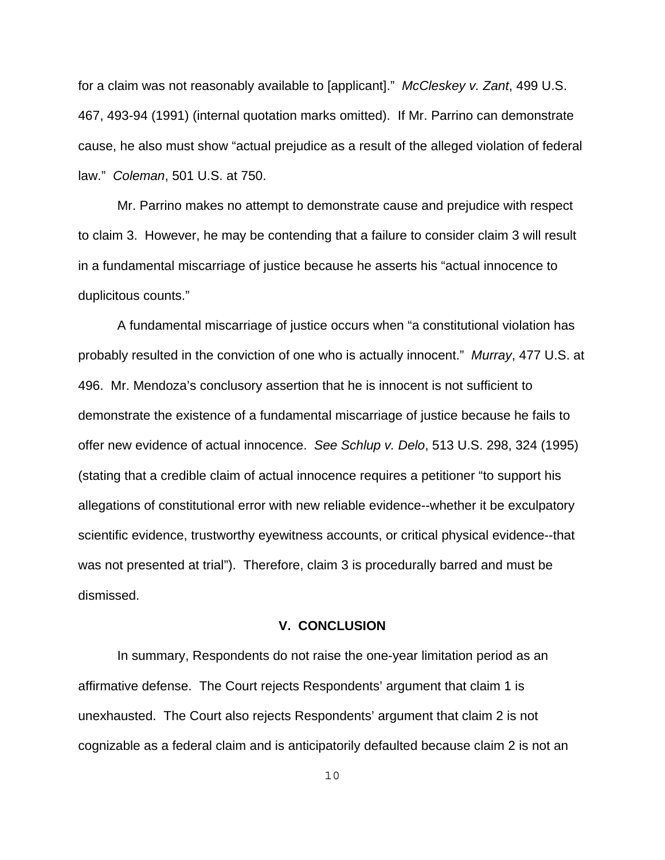for a claim was not reasonably available to [applicant]." McCleskey v. Zant, 499 U.S. 467, 493-94 (1991) (internal quotation marks omitted). If Mr. Parrino can demonstrate cause, he also must show "actual prejudice as a result of the alleged violation of federal law." Coleman, 501 U.S. at 750.

Mr. Parrino makes no attempt to demonstrate cause and prejudice with respect to claim 3. However, he may be contending that a failure to consider claim 3 will result in a fundamental miscarriage of justice because he asserts his "actual innocence to duplicitous counts."

A fundamental miscarriage of justice occurs when "a constitutional violation has probably resulted in the conviction of one who is actually innocent." Murray, 477 U.S. at 496. Mr. Mendoza's conclusory assertion that he is innocent is not sufficient to demonstrate the existence of a fundamental miscarriage of justice because he fails to offer new evidence of actual innocence. See Schlup v. Delo, 513 U.S. 298, 324 (1995) (stating that a credible claim of actual innocence requires a petitioner "to support his allegations of constitutional error with new reliable evidence--whether it be exculpatory scientific evidence, trustworthy eyewitness accounts, or critical physical evidence--that was not presented at trial"). Therefore, claim 3 is procedurally barred and must be dismissed.

#### **V. CONCLUSION**

In summary, Respondents do not raise the one-year limitation period as an affirmative defense. The Court rejects Respondents' argument that claim 1 is unexhausted. The Court also rejects Respondents' argument that claim 2 is not cognizable as a federal claim and is anticipatorily defaulted because claim 2 is not an